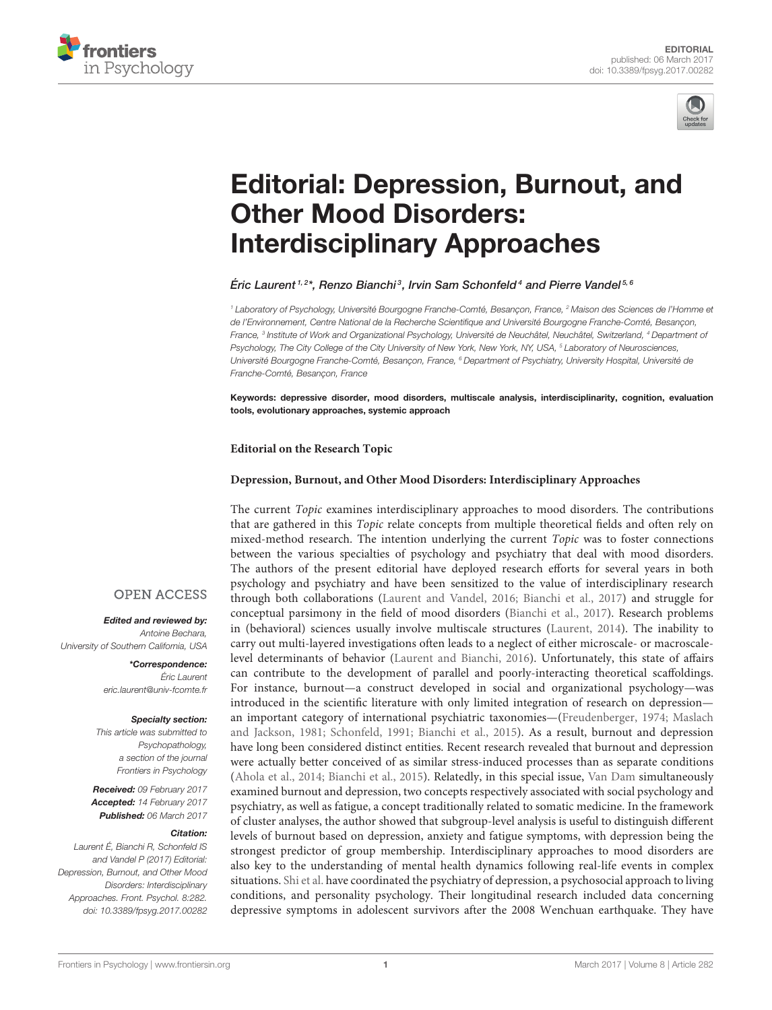



# [Editorial: Depression, Burnout, and](http://journal.frontiersin.org/article/10.3389/fpsyg.2017.00282/full) Other Mood Disorders: Interdisciplinary Approaches

### [Éric Laurent](http://loop.frontiersin.org/people/70795/overview)<sup>1,2\*</sup>, Renzo Bianchi<sup>3</sup>, [Irvin Sam Schonfeld](http://loop.frontiersin.org/people/205184/overview)<sup>4</sup> and [Pierre Vandel](http://loop.frontiersin.org/people/191649/overview)<sup>5,6</sup>

<sup>1</sup> Laboratory of Psychology, Université Bourgogne Franche-Comté, Besançon, France, <sup>2</sup> Maison des Sciences de l'Homme et de l'Environnement, Centre National de la Recherche Scientifique and Université Bourgogne Franche-Comté, Besançon, France, <sup>3</sup> Institute of Work and Organizational Psychology, Université de Neuchâtel, Neuchâtel, Switzerland, <sup>4</sup> Department oi Psychology, The City College of the City University of New York, New York, NY, USA, <sup>5</sup> Laboratory of Neurosciences, Université Bourgogne Franche-Comté, Besançon, France, <sup>6</sup> Department of Psychiatry, University Hospital, Université de Franche-Comté, Besançon, France

Keywords: depressive disorder, mood disorders, multiscale analysis, interdisciplinarity, cognition, evaluation tools, evolutionary approaches, systemic approach

### **Editorial on the Research Topic**

### **[Depression, Burnout, and Other Mood Disorders: Interdisciplinary Approaches](http://journal.frontiersin.org/researchtopic/3806/depression-burnout-and-other-mood-disorders-interdisciplinary-approaches)**

The current Topic examines interdisciplinary approaches to mood disorders. The contributions that are gathered in this Topic relate concepts from multiple theoretical fields and often rely on mixed-method research. The intention underlying the current Topic was to foster connections between the various specialties of psychology and psychiatry that deal with mood disorders. The authors of the present editorial have deployed research efforts for several years in both psychology and psychiatry and have been sensitized to the value of interdisciplinary research through both collaborations [\(Laurent and Vandel, 2016;](#page-1-0) [Bianchi et al., 2017\)](#page-1-1) and struggle for conceptual parsimony in the field of mood disorders [\(Bianchi et al., 2017\)](#page-1-1). Research problems in (behavioral) sciences usually involve multiscale structures [\(Laurent, 2014\)](#page-1-2). The inability to carry out multi-layered investigations often leads to a neglect of either microscale- or macroscalelevel determinants of behavior [\(Laurent and Bianchi, 2016\)](#page-1-3). Unfortunately, this state of affairs can contribute to the development of parallel and poorly-interacting theoretical scaffoldings. For instance, burnout—a construct developed in social and organizational psychology—was introduced in the scientific literature with only limited integration of research on depression an important category of international psychiatric taxonomies—[\(Freudenberger, 1974;](#page-1-4) Maslach and Jackson, [1981;](#page-1-5) [Schonfeld, 1991;](#page-1-6) [Bianchi et al., 2015\)](#page-1-7). As a result, burnout and depression have long been considered distinct entities. Recent research revealed that burnout and depression were actually better conceived of as similar stress-induced processes than as separate conditions [\(Ahola et al., 2014;](#page-1-8) [Bianchi et al., 2015\)](#page-1-7). Relatedly, in this special issue, [Van Dam](https://doi.org/10.3389/fpsyg.2016.00090) simultaneously examined burnout and depression, two concepts respectively associated with social psychology and psychiatry, as well as fatigue, a concept traditionally related to somatic medicine. In the framework of cluster analyses, the author showed that subgroup-level analysis is useful to distinguish different levels of burnout based on depression, anxiety and fatigue symptoms, with depression being the strongest predictor of group membership. Interdisciplinary approaches to mood disorders are also key to the understanding of mental health dynamics following real-life events in complex situations. [Shi et al.](https://doi.org/10.3389/fpsyg.2016.00467) have coordinated the psychiatry of depression, a psychosocial approach to living conditions, and personality psychology. Their longitudinal research included data concerning depressive symptoms in adolescent survivors after the 2008 Wenchuan earthquake. They have

# **OPEN ACCESS**

Edited and reviewed by: Antoine Bechara, University of Southern California, USA

> \*Correspondence: Éric Laurent [eric.laurent@univ-fcomte.fr](mailto:eric.laurent@univ-fcomte.fr)

#### Specialty section:

This article was submitted to Psychopathology, a section of the journal Frontiers in Psychology

Received: 09 February 2017 Accepted: 14 February 2017 Published: 06 March 2017

### Citation:

Laurent É, Bianchi R, Schonfeld IS and Vandel P (2017) Editorial: Depression, Burnout, and Other Mood Disorders: Interdisciplinary Approaches. Front. Psychol. 8:282. doi: [10.3389/fpsyg.2017.00282](https://doi.org/10.3389/fpsyg.2017.00282)